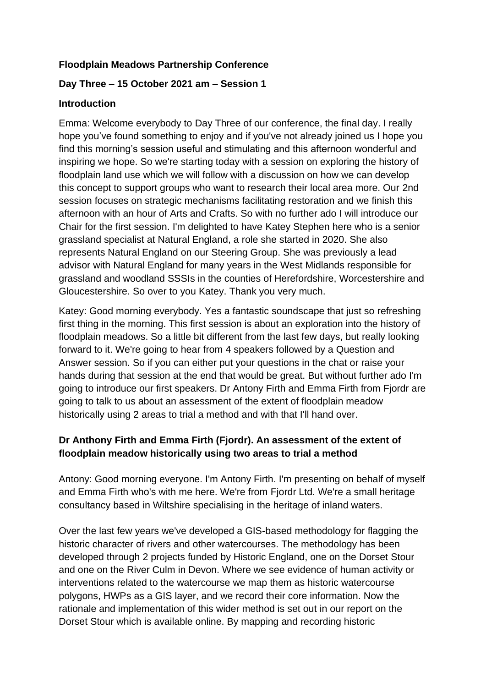#### **Floodplain Meadows Partnership Conference**

## **Day Three – 15 October 2021 am – Session 1**

#### **Introduction**

Emma: Welcome everybody to Day Three of our conference, the final day. I really hope you've found something to enjoy and if you've not already joined us I hope you find this morning's session useful and stimulating and this afternoon wonderful and inspiring we hope. So we're starting today with a session on exploring the history of floodplain land use which we will follow with a discussion on how we can develop this concept to support groups who want to research their local area more. Our 2nd session focuses on strategic mechanisms facilitating restoration and we finish this afternoon with an hour of Arts and Crafts. So with no further ado I will introduce our Chair for the first session. I'm delighted to have Katey Stephen here who is a senior grassland specialist at Natural England, a role she started in 2020. She also represents Natural England on our Steering Group. She was previously a lead advisor with Natural England for many years in the West Midlands responsible for grassland and woodland SSSIs in the counties of Herefordshire, Worcestershire and Gloucestershire. So over to you Katey. Thank you very much.

Katey: Good morning everybody. Yes a fantastic soundscape that just so refreshing first thing in the morning. This first session is about an exploration into the history of floodplain meadows. So a little bit different from the last few days, but really looking forward to it. We're going to hear from 4 speakers followed by a Question and Answer session. So if you can either put your questions in the chat or raise your hands during that session at the end that would be great. But without further ado I'm going to introduce our first speakers. Dr Antony Firth and Emma Firth from Fjordr are going to talk to us about an assessment of the extent of floodplain meadow historically using 2 areas to trial a method and with that I'll hand over.

# **Dr Anthony Firth and Emma Firth (Fjordr). An assessment of the extent of floodplain meadow historically using two areas to trial a method**

Antony: Good morning everyone. I'm Antony Firth. I'm presenting on behalf of myself and Emma Firth who's with me here. We're from Fjordr Ltd. We're a small heritage consultancy based in Wiltshire specialising in the heritage of inland waters.

Over the last few years we've developed a GIS-based methodology for flagging the historic character of rivers and other watercourses. The methodology has been developed through 2 projects funded by Historic England, one on the Dorset Stour and one on the River Culm in Devon. Where we see evidence of human activity or interventions related to the watercourse we map them as historic watercourse polygons, HWPs as a GIS layer, and we record their core information. Now the rationale and implementation of this wider method is set out in our report on the Dorset Stour which is available online. By mapping and recording historic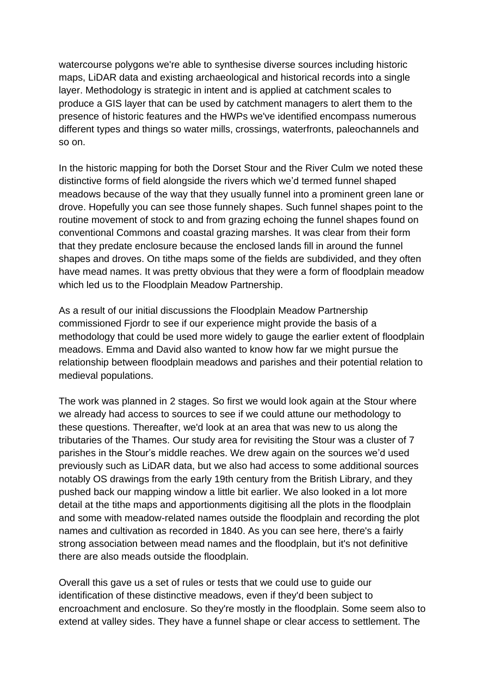watercourse polygons we're able to synthesise diverse sources including historic maps, LiDAR data and existing archaeological and historical records into a single layer. Methodology is strategic in intent and is applied at catchment scales to produce a GIS layer that can be used by catchment managers to alert them to the presence of historic features and the HWPs we've identified encompass numerous different types and things so water mills, crossings, waterfronts, paleochannels and so on.

In the historic mapping for both the Dorset Stour and the River Culm we noted these distinctive forms of field alongside the rivers which we'd termed funnel shaped meadows because of the way that they usually funnel into a prominent green lane or drove. Hopefully you can see those funnely shapes. Such funnel shapes point to the routine movement of stock to and from grazing echoing the funnel shapes found on conventional Commons and coastal grazing marshes. It was clear from their form that they predate enclosure because the enclosed lands fill in around the funnel shapes and droves. On tithe maps some of the fields are subdivided, and they often have mead names. It was pretty obvious that they were a form of floodplain meadow which led us to the Floodplain Meadow Partnership.

As a result of our initial discussions the Floodplain Meadow Partnership commissioned Fjordr to see if our experience might provide the basis of a methodology that could be used more widely to gauge the earlier extent of floodplain meadows. Emma and David also wanted to know how far we might pursue the relationship between floodplain meadows and parishes and their potential relation to medieval populations.

The work was planned in 2 stages. So first we would look again at the Stour where we already had access to sources to see if we could attune our methodology to these questions. Thereafter, we'd look at an area that was new to us along the tributaries of the Thames. Our study area for revisiting the Stour was a cluster of 7 parishes in the Stour's middle reaches. We drew again on the sources we'd used previously such as LiDAR data, but we also had access to some additional sources notably OS drawings from the early 19th century from the British Library, and they pushed back our mapping window a little bit earlier. We also looked in a lot more detail at the tithe maps and apportionments digitising all the plots in the floodplain and some with meadow-related names outside the floodplain and recording the plot names and cultivation as recorded in 1840. As you can see here, there's a fairly strong association between mead names and the floodplain, but it's not definitive there are also meads outside the floodplain.

Overall this gave us a set of rules or tests that we could use to guide our identification of these distinctive meadows, even if they'd been subject to encroachment and enclosure. So they're mostly in the floodplain. Some seem also to extend at valley sides. They have a funnel shape or clear access to settlement. The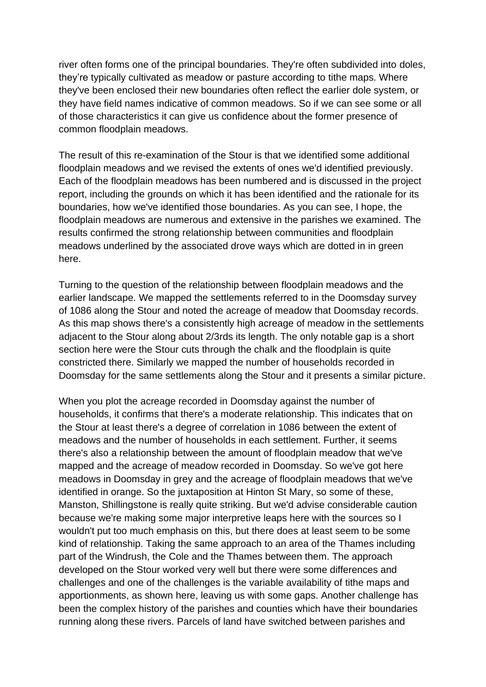river often forms one of the principal boundaries. They're often subdivided into doles, they're typically cultivated as meadow or pasture according to tithe maps. Where they've been enclosed their new boundaries often reflect the earlier dole system, or they have field names indicative of common meadows. So if we can see some or all of those characteristics it can give us confidence about the former presence of common floodplain meadows.

The result of this re-examination of the Stour is that we identified some additional floodplain meadows and we revised the extents of ones we'd identified previously. Each of the floodplain meadows has been numbered and is discussed in the project report, including the grounds on which it has been identified and the rationale for its boundaries, how we've identified those boundaries. As you can see, I hope, the floodplain meadows are numerous and extensive in the parishes we examined. The results confirmed the strong relationship between communities and floodplain meadows underlined by the associated drove ways which are dotted in in green here.

Turning to the question of the relationship between floodplain meadows and the earlier landscape. We mapped the settlements referred to in the Doomsday survey of 1086 along the Stour and noted the acreage of meadow that Doomsday records. As this map shows there's a consistently high acreage of meadow in the settlements adjacent to the Stour along about 2/3rds its length. The only notable gap is a short section here were the Stour cuts through the chalk and the floodplain is quite constricted there. Similarly we mapped the number of households recorded in Doomsday for the same settlements along the Stour and it presents a similar picture.

When you plot the acreage recorded in Doomsday against the number of households, it confirms that there's a moderate relationship. This indicates that on the Stour at least there's a degree of correlation in 1086 between the extent of meadows and the number of households in each settlement. Further, it seems there's also a relationship between the amount of floodplain meadow that we've mapped and the acreage of meadow recorded in Doomsday. So we've got here meadows in Doomsday in grey and the acreage of floodplain meadows that we've identified in orange. So the juxtaposition at Hinton St Mary, so some of these, Manston, Shillingstone is really quite striking. But we'd advise considerable caution because we're making some major interpretive leaps here with the sources so I wouldn't put too much emphasis on this, but there does at least seem to be some kind of relationship. Taking the same approach to an area of the Thames including part of the Windrush, the Cole and the Thames between them. The approach developed on the Stour worked very well but there were some differences and challenges and one of the challenges is the variable availability of tithe maps and apportionments, as shown here, leaving us with some gaps. Another challenge has been the complex history of the parishes and counties which have their boundaries running along these rivers. Parcels of land have switched between parishes and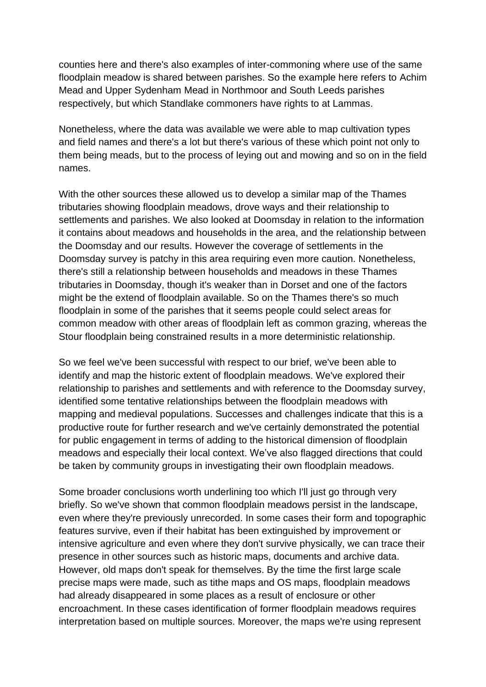counties here and there's also examples of inter-commoning where use of the same floodplain meadow is shared between parishes. So the example here refers to Achim Mead and Upper Sydenham Mead in Northmoor and South Leeds parishes respectively, but which Standlake commoners have rights to at Lammas.

Nonetheless, where the data was available we were able to map cultivation types and field names and there's a lot but there's various of these which point not only to them being meads, but to the process of leying out and mowing and so on in the field names.

With the other sources these allowed us to develop a similar map of the Thames tributaries showing floodplain meadows, drove ways and their relationship to settlements and parishes. We also looked at Doomsday in relation to the information it contains about meadows and households in the area, and the relationship between the Doomsday and our results. However the coverage of settlements in the Doomsday survey is patchy in this area requiring even more caution. Nonetheless, there's still a relationship between households and meadows in these Thames tributaries in Doomsday, though it's weaker than in Dorset and one of the factors might be the extend of floodplain available. So on the Thames there's so much floodplain in some of the parishes that it seems people could select areas for common meadow with other areas of floodplain left as common grazing, whereas the Stour floodplain being constrained results in a more deterministic relationship.

So we feel we've been successful with respect to our brief, we've been able to identify and map the historic extent of floodplain meadows. We've explored their relationship to parishes and settlements and with reference to the Doomsday survey, identified some tentative relationships between the floodplain meadows with mapping and medieval populations. Successes and challenges indicate that this is a productive route for further research and we've certainly demonstrated the potential for public engagement in terms of adding to the historical dimension of floodplain meadows and especially their local context. We've also flagged directions that could be taken by community groups in investigating their own floodplain meadows.

Some broader conclusions worth underlining too which I'll just go through very briefly. So we've shown that common floodplain meadows persist in the landscape, even where they're previously unrecorded. In some cases their form and topographic features survive, even if their habitat has been extinguished by improvement or intensive agriculture and even where they don't survive physically, we can trace their presence in other sources such as historic maps, documents and archive data. However, old maps don't speak for themselves. By the time the first large scale precise maps were made, such as tithe maps and OS maps, floodplain meadows had already disappeared in some places as a result of enclosure or other encroachment. In these cases identification of former floodplain meadows requires interpretation based on multiple sources. Moreover, the maps we're using represent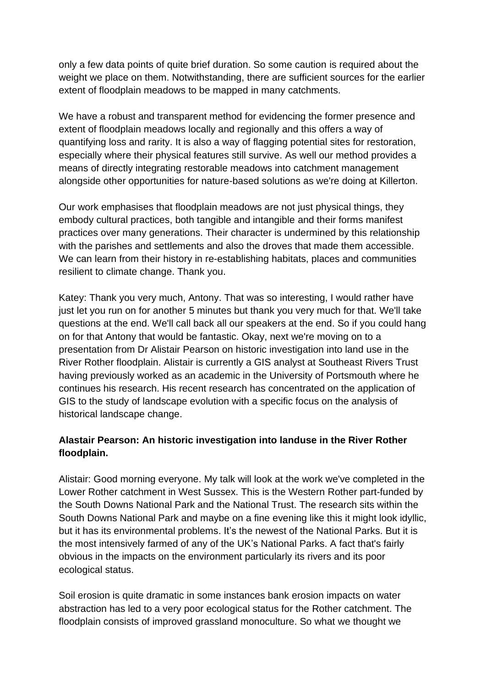only a few data points of quite brief duration. So some caution is required about the weight we place on them. Notwithstanding, there are sufficient sources for the earlier extent of floodplain meadows to be mapped in many catchments.

We have a robust and transparent method for evidencing the former presence and extent of floodplain meadows locally and regionally and this offers a way of quantifying loss and rarity. It is also a way of flagging potential sites for restoration, especially where their physical features still survive. As well our method provides a means of directly integrating restorable meadows into catchment management alongside other opportunities for nature-based solutions as we're doing at Killerton.

Our work emphasises that floodplain meadows are not just physical things, they embody cultural practices, both tangible and intangible and their forms manifest practices over many generations. Their character is undermined by this relationship with the parishes and settlements and also the droves that made them accessible. We can learn from their history in re-establishing habitats, places and communities resilient to climate change. Thank you.

Katey: Thank you very much, Antony. That was so interesting, I would rather have just let you run on for another 5 minutes but thank you very much for that. We'll take questions at the end. We'll call back all our speakers at the end. So if you could hang on for that Antony that would be fantastic. Okay, next we're moving on to a presentation from Dr Alistair Pearson on historic investigation into land use in the River Rother floodplain. Alistair is currently a GIS analyst at Southeast Rivers Trust having previously worked as an academic in the University of Portsmouth where he continues his research. His recent research has concentrated on the application of GIS to the study of landscape evolution with a specific focus on the analysis of historical landscape change.

## **Alastair Pearson: An historic investigation into landuse in the River Rother floodplain.**

Alistair: Good morning everyone. My talk will look at the work we've completed in the Lower Rother catchment in West Sussex. This is the Western Rother part-funded by the South Downs National Park and the National Trust. The research sits within the South Downs National Park and maybe on a fine evening like this it might look idyllic, but it has its environmental problems. It's the newest of the National Parks. But it is the most intensively farmed of any of the UK's National Parks. A fact that's fairly obvious in the impacts on the environment particularly its rivers and its poor ecological status.

Soil erosion is quite dramatic in some instances bank erosion impacts on water abstraction has led to a very poor ecological status for the Rother catchment. The floodplain consists of improved grassland monoculture. So what we thought we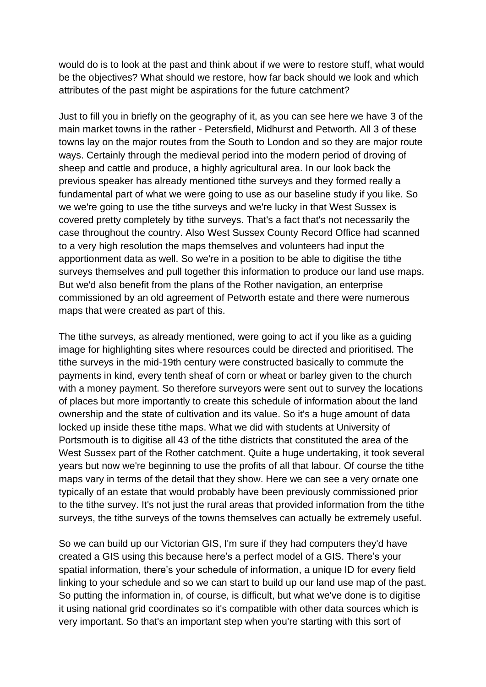would do is to look at the past and think about if we were to restore stuff, what would be the objectives? What should we restore, how far back should we look and which attributes of the past might be aspirations for the future catchment?

Just to fill you in briefly on the geography of it, as you can see here we have 3 of the main market towns in the rather - Petersfield, Midhurst and Petworth. All 3 of these towns lay on the major routes from the South to London and so they are major route ways. Certainly through the medieval period into the modern period of droving of sheep and cattle and produce, a highly agricultural area. In our look back the previous speaker has already mentioned tithe surveys and they formed really a fundamental part of what we were going to use as our baseline study if you like. So we we're going to use the tithe surveys and we're lucky in that West Sussex is covered pretty completely by tithe surveys. That's a fact that's not necessarily the case throughout the country. Also West Sussex County Record Office had scanned to a very high resolution the maps themselves and volunteers had input the apportionment data as well. So we're in a position to be able to digitise the tithe surveys themselves and pull together this information to produce our land use maps. But we'd also benefit from the plans of the Rother navigation, an enterprise commissioned by an old agreement of Petworth estate and there were numerous maps that were created as part of this.

The tithe surveys, as already mentioned, were going to act if you like as a guiding image for highlighting sites where resources could be directed and prioritised. The tithe surveys in the mid-19th century were constructed basically to commute the payments in kind, every tenth sheaf of corn or wheat or barley given to the church with a money payment. So therefore surveyors were sent out to survey the locations of places but more importantly to create this schedule of information about the land ownership and the state of cultivation and its value. So it's a huge amount of data locked up inside these tithe maps. What we did with students at University of Portsmouth is to digitise all 43 of the tithe districts that constituted the area of the West Sussex part of the Rother catchment. Quite a huge undertaking, it took several years but now we're beginning to use the profits of all that labour. Of course the tithe maps vary in terms of the detail that they show. Here we can see a very ornate one typically of an estate that would probably have been previously commissioned prior to the tithe survey. It's not just the rural areas that provided information from the tithe surveys, the tithe surveys of the towns themselves can actually be extremely useful.

So we can build up our Victorian GIS, I'm sure if they had computers they'd have created a GIS using this because here's a perfect model of a GIS. There's your spatial information, there's your schedule of information, a unique ID for every field linking to your schedule and so we can start to build up our land use map of the past. So putting the information in, of course, is difficult, but what we've done is to digitise it using national grid coordinates so it's compatible with other data sources which is very important. So that's an important step when you're starting with this sort of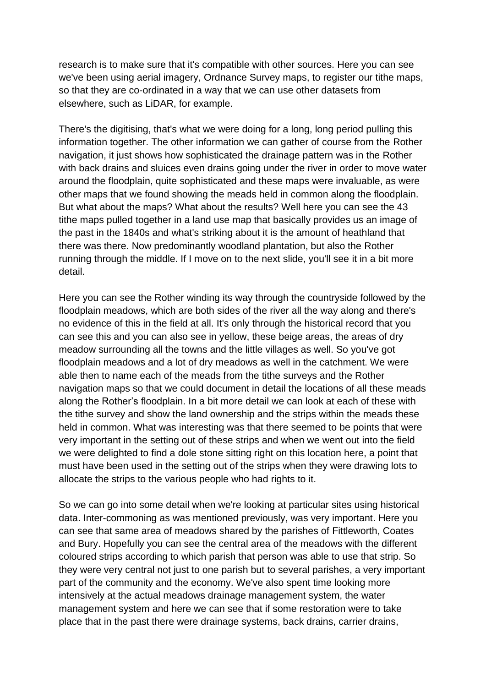research is to make sure that it's compatible with other sources. Here you can see we've been using aerial imagery, Ordnance Survey maps, to register our tithe maps, so that they are co-ordinated in a way that we can use other datasets from elsewhere, such as LiDAR, for example.

There's the digitising, that's what we were doing for a long, long period pulling this information together. The other information we can gather of course from the Rother navigation, it just shows how sophisticated the drainage pattern was in the Rother with back drains and sluices even drains going under the river in order to move water around the floodplain, quite sophisticated and these maps were invaluable, as were other maps that we found showing the meads held in common along the floodplain. But what about the maps? What about the results? Well here you can see the 43 tithe maps pulled together in a land use map that basically provides us an image of the past in the 1840s and what's striking about it is the amount of heathland that there was there. Now predominantly woodland plantation, but also the Rother running through the middle. If I move on to the next slide, you'll see it in a bit more detail.

Here you can see the Rother winding its way through the countryside followed by the floodplain meadows, which are both sides of the river all the way along and there's no evidence of this in the field at all. It's only through the historical record that you can see this and you can also see in yellow, these beige areas, the areas of dry meadow surrounding all the towns and the little villages as well. So you've got floodplain meadows and a lot of dry meadows as well in the catchment. We were able then to name each of the meads from the tithe surveys and the Rother navigation maps so that we could document in detail the locations of all these meads along the Rother's floodplain. In a bit more detail we can look at each of these with the tithe survey and show the land ownership and the strips within the meads these held in common. What was interesting was that there seemed to be points that were very important in the setting out of these strips and when we went out into the field we were delighted to find a dole stone sitting right on this location here, a point that must have been used in the setting out of the strips when they were drawing lots to allocate the strips to the various people who had rights to it.

So we can go into some detail when we're looking at particular sites using historical data. Inter-commoning as was mentioned previously, was very important. Here you can see that same area of meadows shared by the parishes of Fittleworth, Coates and Bury. Hopefully you can see the central area of the meadows with the different coloured strips according to which parish that person was able to use that strip. So they were very central not just to one parish but to several parishes, a very important part of the community and the economy. We've also spent time looking more intensively at the actual meadows drainage management system, the water management system and here we can see that if some restoration were to take place that in the past there were drainage systems, back drains, carrier drains,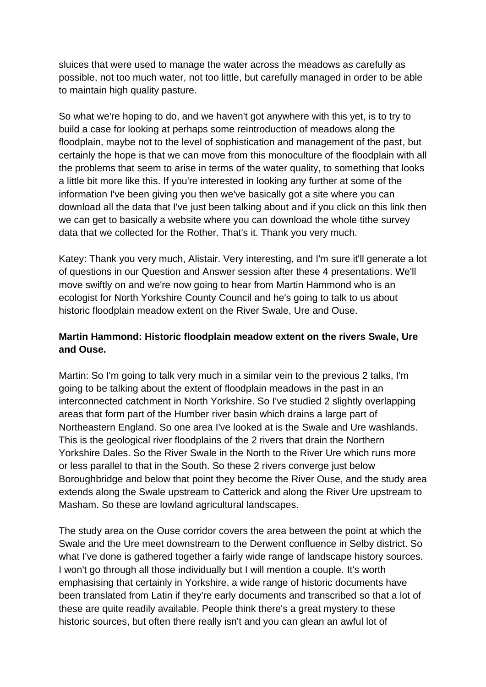sluices that were used to manage the water across the meadows as carefully as possible, not too much water, not too little, but carefully managed in order to be able to maintain high quality pasture.

So what we're hoping to do, and we haven't got anywhere with this yet, is to try to build a case for looking at perhaps some reintroduction of meadows along the floodplain, maybe not to the level of sophistication and management of the past, but certainly the hope is that we can move from this monoculture of the floodplain with all the problems that seem to arise in terms of the water quality, to something that looks a little bit more like this. If you're interested in looking any further at some of the information I've been giving you then we've basically got a site where you can download all the data that I've just been talking about and if you click on this link then we can get to basically a website where you can download the whole tithe survey data that we collected for the Rother. That's it. Thank you very much.

Katey: Thank you very much, Alistair. Very interesting, and I'm sure it'll generate a lot of questions in our Question and Answer session after these 4 presentations. We'll move swiftly on and we're now going to hear from Martin Hammond who is an ecologist for North Yorkshire County Council and he's going to talk to us about historic floodplain meadow extent on the River Swale, Ure and Ouse.

# **Martin Hammond: Historic floodplain meadow extent on the rivers Swale, Ure and Ouse.**

Martin: So I'm going to talk very much in a similar vein to the previous 2 talks, I'm going to be talking about the extent of floodplain meadows in the past in an interconnected catchment in North Yorkshire. So I've studied 2 slightly overlapping areas that form part of the Humber river basin which drains a large part of Northeastern England. So one area I've looked at is the Swale and Ure washlands. This is the geological river floodplains of the 2 rivers that drain the Northern Yorkshire Dales. So the River Swale in the North to the River Ure which runs more or less parallel to that in the South. So these 2 rivers converge just below Boroughbridge and below that point they become the River Ouse, and the study area extends along the Swale upstream to Catterick and along the River Ure upstream to Masham. So these are lowland agricultural landscapes.

The study area on the Ouse corridor covers the area between the point at which the Swale and the Ure meet downstream to the Derwent confluence in Selby district. So what I've done is gathered together a fairly wide range of landscape history sources. I won't go through all those individually but I will mention a couple. It's worth emphasising that certainly in Yorkshire, a wide range of historic documents have been translated from Latin if they're early documents and transcribed so that a lot of these are quite readily available. People think there's a great mystery to these historic sources, but often there really isn't and you can glean an awful lot of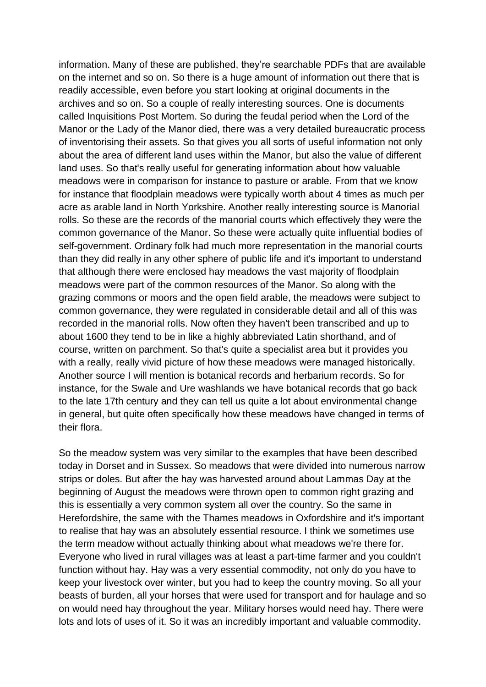information. Many of these are published, they're searchable PDFs that are available on the internet and so on. So there is a huge amount of information out there that is readily accessible, even before you start looking at original documents in the archives and so on. So a couple of really interesting sources. One is documents called Inquisitions Post Mortem. So during the feudal period when the Lord of the Manor or the Lady of the Manor died, there was a very detailed bureaucratic process of inventorising their assets. So that gives you all sorts of useful information not only about the area of different land uses within the Manor, but also the value of different land uses. So that's really useful for generating information about how valuable meadows were in comparison for instance to pasture or arable. From that we know for instance that floodplain meadows were typically worth about 4 times as much per acre as arable land in North Yorkshire. Another really interesting source is Manorial rolls. So these are the records of the manorial courts which effectively they were the common governance of the Manor. So these were actually quite influential bodies of self-government. Ordinary folk had much more representation in the manorial courts than they did really in any other sphere of public life and it's important to understand that although there were enclosed hay meadows the vast majority of floodplain meadows were part of the common resources of the Manor. So along with the grazing commons or moors and the open field arable, the meadows were subject to common governance, they were regulated in considerable detail and all of this was recorded in the manorial rolls. Now often they haven't been transcribed and up to about 1600 they tend to be in like a highly abbreviated Latin shorthand, and of course, written on parchment. So that's quite a specialist area but it provides you with a really, really vivid picture of how these meadows were managed historically. Another source I will mention is botanical records and herbarium records. So for instance, for the Swale and Ure washlands we have botanical records that go back to the late 17th century and they can tell us quite a lot about environmental change in general, but quite often specifically how these meadows have changed in terms of their flora.

So the meadow system was very similar to the examples that have been described today in Dorset and in Sussex. So meadows that were divided into numerous narrow strips or doles. But after the hay was harvested around about Lammas Day at the beginning of August the meadows were thrown open to common right grazing and this is essentially a very common system all over the country. So the same in Herefordshire, the same with the Thames meadows in Oxfordshire and it's important to realise that hay was an absolutely essential resource. I think we sometimes use the term meadow without actually thinking about what meadows we're there for. Everyone who lived in rural villages was at least a part-time farmer and you couldn't function without hay. Hay was a very essential commodity, not only do you have to keep your livestock over winter, but you had to keep the country moving. So all your beasts of burden, all your horses that were used for transport and for haulage and so on would need hay throughout the year. Military horses would need hay. There were lots and lots of uses of it. So it was an incredibly important and valuable commodity.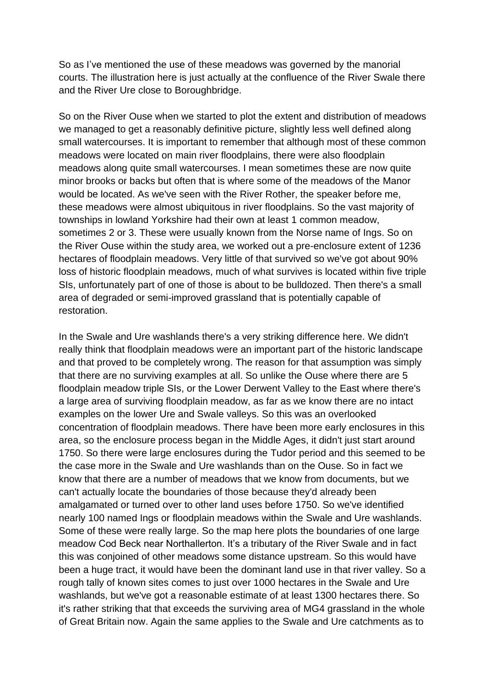So as I've mentioned the use of these meadows was governed by the manorial courts. The illustration here is just actually at the confluence of the River Swale there and the River Ure close to Boroughbridge.

So on the River Ouse when we started to plot the extent and distribution of meadows we managed to get a reasonably definitive picture, slightly less well defined along small watercourses. It is important to remember that although most of these common meadows were located on main river floodplains, there were also floodplain meadows along quite small watercourses. I mean sometimes these are now quite minor brooks or backs but often that is where some of the meadows of the Manor would be located. As we've seen with the River Rother, the speaker before me, these meadows were almost ubiquitous in river floodplains. So the vast majority of townships in lowland Yorkshire had their own at least 1 common meadow, sometimes 2 or 3. These were usually known from the Norse name of Ings. So on the River Ouse within the study area, we worked out a pre-enclosure extent of 1236 hectares of floodplain meadows. Very little of that survived so we've got about 90% loss of historic floodplain meadows, much of what survives is located within five triple SIs, unfortunately part of one of those is about to be bulldozed. Then there's a small area of degraded or semi-improved grassland that is potentially capable of restoration.

In the Swale and Ure washlands there's a very striking difference here. We didn't really think that floodplain meadows were an important part of the historic landscape and that proved to be completely wrong. The reason for that assumption was simply that there are no surviving examples at all. So unlike the Ouse where there are 5 floodplain meadow triple SIs, or the Lower Derwent Valley to the East where there's a large area of surviving floodplain meadow, as far as we know there are no intact examples on the lower Ure and Swale valleys. So this was an overlooked concentration of floodplain meadows. There have been more early enclosures in this area, so the enclosure process began in the Middle Ages, it didn't just start around 1750. So there were large enclosures during the Tudor period and this seemed to be the case more in the Swale and Ure washlands than on the Ouse. So in fact we know that there are a number of meadows that we know from documents, but we can't actually locate the boundaries of those because they'd already been amalgamated or turned over to other land uses before 1750. So we've identified nearly 100 named Ings or floodplain meadows within the Swale and Ure washlands. Some of these were really large. So the map here plots the boundaries of one large meadow Cod Beck near Northallerton. It's a tributary of the River Swale and in fact this was conjoined of other meadows some distance upstream. So this would have been a huge tract, it would have been the dominant land use in that river valley. So a rough tally of known sites comes to just over 1000 hectares in the Swale and Ure washlands, but we've got a reasonable estimate of at least 1300 hectares there. So it's rather striking that that exceeds the surviving area of MG4 grassland in the whole of Great Britain now. Again the same applies to the Swale and Ure catchments as to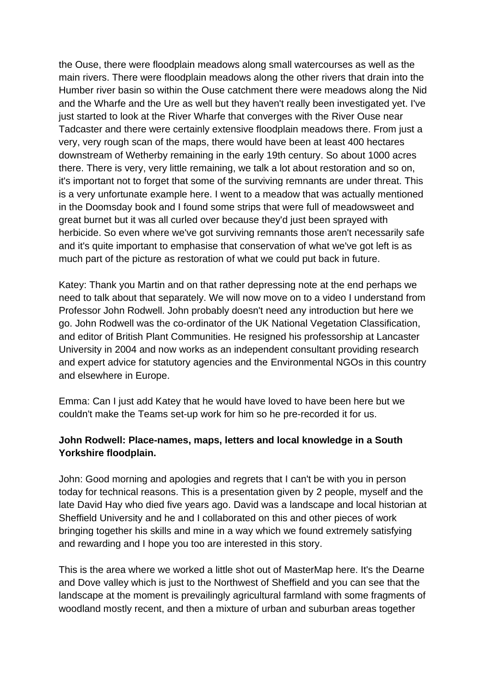the Ouse, there were floodplain meadows along small watercourses as well as the main rivers. There were floodplain meadows along the other rivers that drain into the Humber river basin so within the Ouse catchment there were meadows along the Nid and the Wharfe and the Ure as well but they haven't really been investigated yet. I've just started to look at the River Wharfe that converges with the River Ouse near Tadcaster and there were certainly extensive floodplain meadows there. From just a very, very rough scan of the maps, there would have been at least 400 hectares downstream of Wetherby remaining in the early 19th century. So about 1000 acres there. There is very, very little remaining, we talk a lot about restoration and so on, it's important not to forget that some of the surviving remnants are under threat. This is a very unfortunate example here. I went to a meadow that was actually mentioned in the Doomsday book and I found some strips that were full of meadowsweet and great burnet but it was all curled over because they'd just been sprayed with herbicide. So even where we've got surviving remnants those aren't necessarily safe and it's quite important to emphasise that conservation of what we've got left is as much part of the picture as restoration of what we could put back in future.

Katey: Thank you Martin and on that rather depressing note at the end perhaps we need to talk about that separately. We will now move on to a video I understand from Professor John Rodwell. John probably doesn't need any introduction but here we go. John Rodwell was the co-ordinator of the UK National Vegetation Classification, and editor of British Plant Communities. He resigned his professorship at Lancaster University in 2004 and now works as an independent consultant providing research and expert advice for statutory agencies and the Environmental NGOs in this country and elsewhere in Europe.

Emma: Can I just add Katey that he would have loved to have been here but we couldn't make the Teams set-up work for him so he pre-recorded it for us.

## **John Rodwell: Place-names, maps, letters and local knowledge in a South Yorkshire floodplain.**

John: Good morning and apologies and regrets that I can't be with you in person today for technical reasons. This is a presentation given by 2 people, myself and the late David Hay who died five years ago. David was a landscape and local historian at Sheffield University and he and I collaborated on this and other pieces of work bringing together his skills and mine in a way which we found extremely satisfying and rewarding and I hope you too are interested in this story.

This is the area where we worked a little shot out of MasterMap here. It's the Dearne and Dove valley which is just to the Northwest of Sheffield and you can see that the landscape at the moment is prevailingly agricultural farmland with some fragments of woodland mostly recent, and then a mixture of urban and suburban areas together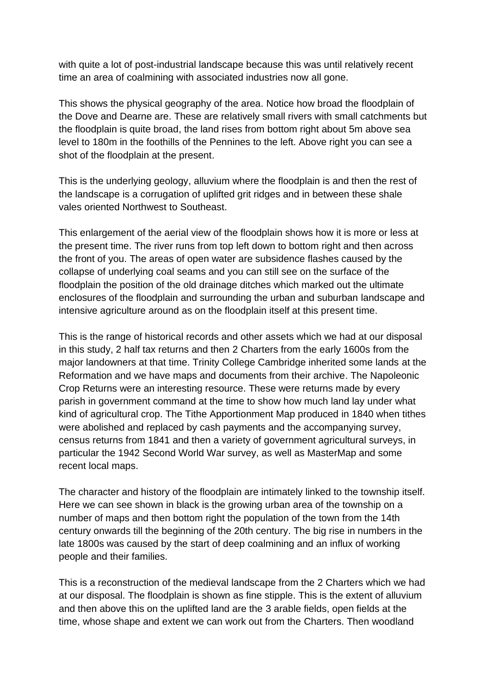with quite a lot of post-industrial landscape because this was until relatively recent time an area of coalmining with associated industries now all gone.

This shows the physical geography of the area. Notice how broad the floodplain of the Dove and Dearne are. These are relatively small rivers with small catchments but the floodplain is quite broad, the land rises from bottom right about 5m above sea level to 180m in the foothills of the Pennines to the left. Above right you can see a shot of the floodplain at the present.

This is the underlying geology, alluvium where the floodplain is and then the rest of the landscape is a corrugation of uplifted grit ridges and in between these shale vales oriented Northwest to Southeast.

This enlargement of the aerial view of the floodplain shows how it is more or less at the present time. The river runs from top left down to bottom right and then across the front of you. The areas of open water are subsidence flashes caused by the collapse of underlying coal seams and you can still see on the surface of the floodplain the position of the old drainage ditches which marked out the ultimate enclosures of the floodplain and surrounding the urban and suburban landscape and intensive agriculture around as on the floodplain itself at this present time.

This is the range of historical records and other assets which we had at our disposal in this study, 2 half tax returns and then 2 Charters from the early 1600s from the major landowners at that time. Trinity College Cambridge inherited some lands at the Reformation and we have maps and documents from their archive. The Napoleonic Crop Returns were an interesting resource. These were returns made by every parish in government command at the time to show how much land lay under what kind of agricultural crop. The Tithe Apportionment Map produced in 1840 when tithes were abolished and replaced by cash payments and the accompanying survey, census returns from 1841 and then a variety of government agricultural surveys, in particular the 1942 Second World War survey, as well as MasterMap and some recent local maps.

The character and history of the floodplain are intimately linked to the township itself. Here we can see shown in black is the growing urban area of the township on a number of maps and then bottom right the population of the town from the 14th century onwards till the beginning of the 20th century. The big rise in numbers in the late 1800s was caused by the start of deep coalmining and an influx of working people and their families.

This is a reconstruction of the medieval landscape from the 2 Charters which we had at our disposal. The floodplain is shown as fine stipple. This is the extent of alluvium and then above this on the uplifted land are the 3 arable fields, open fields at the time, whose shape and extent we can work out from the Charters. Then woodland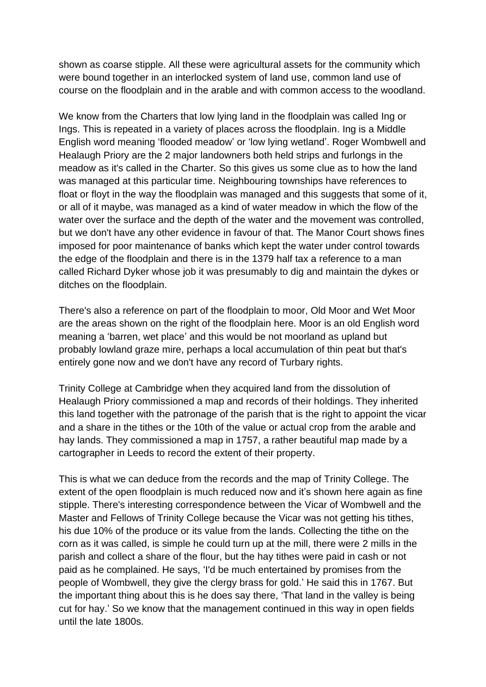shown as coarse stipple. All these were agricultural assets for the community which were bound together in an interlocked system of land use, common land use of course on the floodplain and in the arable and with common access to the woodland.

We know from the Charters that low lying land in the floodplain was called Ing or Ings. This is repeated in a variety of places across the floodplain. Ing is a Middle English word meaning 'flooded meadow' or 'low lying wetland'. Roger Wombwell and Healaugh Priory are the 2 major landowners both held strips and furlongs in the meadow as it's called in the Charter. So this gives us some clue as to how the land was managed at this particular time. Neighbouring townships have references to float or floyt in the way the floodplain was managed and this suggests that some of it, or all of it maybe, was managed as a kind of water meadow in which the flow of the water over the surface and the depth of the water and the movement was controlled, but we don't have any other evidence in favour of that. The Manor Court shows fines imposed for poor maintenance of banks which kept the water under control towards the edge of the floodplain and there is in the 1379 half tax a reference to a man called Richard Dyker whose job it was presumably to dig and maintain the dykes or ditches on the floodplain.

There's also a reference on part of the floodplain to moor, Old Moor and Wet Moor are the areas shown on the right of the floodplain here. Moor is an old English word meaning a 'barren, wet place' and this would be not moorland as upland but probably lowland graze mire, perhaps a local accumulation of thin peat but that's entirely gone now and we don't have any record of Turbary rights.

Trinity College at Cambridge when they acquired land from the dissolution of Healaugh Priory commissioned a map and records of their holdings. They inherited this land together with the patronage of the parish that is the right to appoint the vicar and a share in the tithes or the 10th of the value or actual crop from the arable and hay lands. They commissioned a map in 1757, a rather beautiful map made by a cartographer in Leeds to record the extent of their property.

This is what we can deduce from the records and the map of Trinity College. The extent of the open floodplain is much reduced now and it's shown here again as fine stipple. There's interesting correspondence between the Vicar of Wombwell and the Master and Fellows of Trinity College because the Vicar was not getting his tithes, his due 10% of the produce or its value from the lands. Collecting the tithe on the corn as it was called, is simple he could turn up at the mill, there were 2 mills in the parish and collect a share of the flour, but the hay tithes were paid in cash or not paid as he complained. He says, 'I'd be much entertained by promises from the people of Wombwell, they give the clergy brass for gold.' He said this in 1767. But the important thing about this is he does say there, 'That land in the valley is being cut for hay.' So we know that the management continued in this way in open fields until the late 1800s.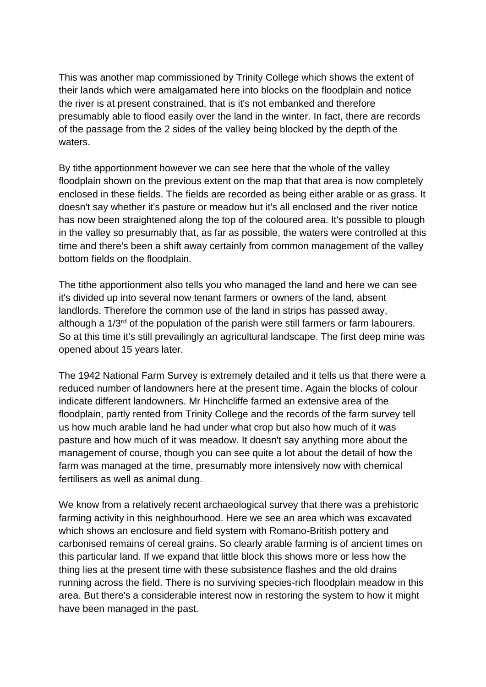This was another map commissioned by Trinity College which shows the extent of their lands which were amalgamated here into blocks on the floodplain and notice the river is at present constrained, that is it's not embanked and therefore presumably able to flood easily over the land in the winter. In fact, there are records of the passage from the 2 sides of the valley being blocked by the depth of the waters.

By tithe apportionment however we can see here that the whole of the valley floodplain shown on the previous extent on the map that that area is now completely enclosed in these fields. The fields are recorded as being either arable or as grass. It doesn't say whether it's pasture or meadow but it's all enclosed and the river notice has now been straightened along the top of the coloured area. It's possible to plough in the valley so presumably that, as far as possible, the waters were controlled at this time and there's been a shift away certainly from common management of the valley bottom fields on the floodplain.

The tithe apportionment also tells you who managed the land and here we can see it's divided up into several now tenant farmers or owners of the land, absent landlords. Therefore the common use of the land in strips has passed away, although a  $1/3<sup>rd</sup>$  of the population of the parish were still farmers or farm labourers. So at this time it's still prevailingly an agricultural landscape. The first deep mine was opened about 15 years later.

The 1942 National Farm Survey is extremely detailed and it tells us that there were a reduced number of landowners here at the present time. Again the blocks of colour indicate different landowners. Mr Hinchcliffe farmed an extensive area of the floodplain, partly rented from Trinity College and the records of the farm survey tell us how much arable land he had under what crop but also how much of it was pasture and how much of it was meadow. It doesn't say anything more about the management of course, though you can see quite a lot about the detail of how the farm was managed at the time, presumably more intensively now with chemical fertilisers as well as animal dung.

We know from a relatively recent archaeological survey that there was a prehistoric farming activity in this neighbourhood. Here we see an area which was excavated which shows an enclosure and field system with Romano-British pottery and carbonised remains of cereal grains. So clearly arable farming is of ancient times on this particular land. If we expand that little block this shows more or less how the thing lies at the present time with these subsistence flashes and the old drains running across the field. There is no surviving species-rich floodplain meadow in this area. But there's a considerable interest now in restoring the system to how it might have been managed in the past.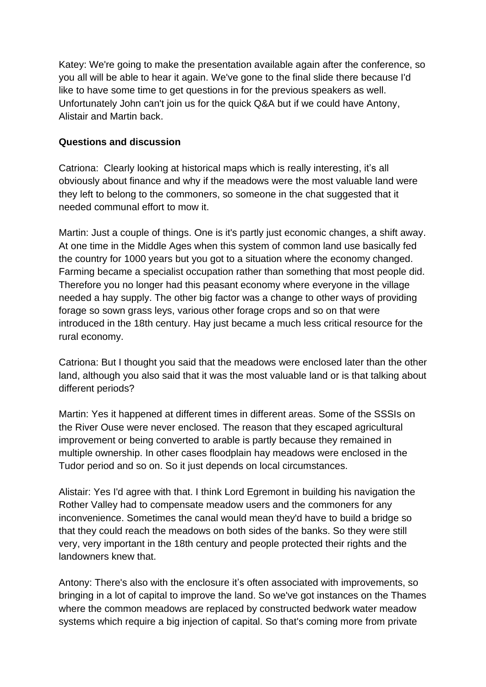Katey: We're going to make the presentation available again after the conference, so you all will be able to hear it again. We've gone to the final slide there because I'd like to have some time to get questions in for the previous speakers as well. Unfortunately John can't join us for the quick Q&A but if we could have Antony, Alistair and Martin back.

## **Questions and discussion**

Catriona: Clearly looking at historical maps which is really interesting, it's all obviously about finance and why if the meadows were the most valuable land were they left to belong to the commoners, so someone in the chat suggested that it needed communal effort to mow it.

Martin: Just a couple of things. One is it's partly just economic changes, a shift away. At one time in the Middle Ages when this system of common land use basically fed the country for 1000 years but you got to a situation where the economy changed. Farming became a specialist occupation rather than something that most people did. Therefore you no longer had this peasant economy where everyone in the village needed a hay supply. The other big factor was a change to other ways of providing forage so sown grass leys, various other forage crops and so on that were introduced in the 18th century. Hay just became a much less critical resource for the rural economy.

Catriona: But I thought you said that the meadows were enclosed later than the other land, although you also said that it was the most valuable land or is that talking about different periods?

Martin: Yes it happened at different times in different areas. Some of the SSSIs on the River Ouse were never enclosed. The reason that they escaped agricultural improvement or being converted to arable is partly because they remained in multiple ownership. In other cases floodplain hay meadows were enclosed in the Tudor period and so on. So it just depends on local circumstances.

Alistair: Yes I'd agree with that. I think Lord Egremont in building his navigation the Rother Valley had to compensate meadow users and the commoners for any inconvenience. Sometimes the canal would mean they'd have to build a bridge so that they could reach the meadows on both sides of the banks. So they were still very, very important in the 18th century and people protected their rights and the landowners knew that.

Antony: There's also with the enclosure it's often associated with improvements, so bringing in a lot of capital to improve the land. So we've got instances on the Thames where the common meadows are replaced by constructed bedwork water meadow systems which require a big injection of capital. So that's coming more from private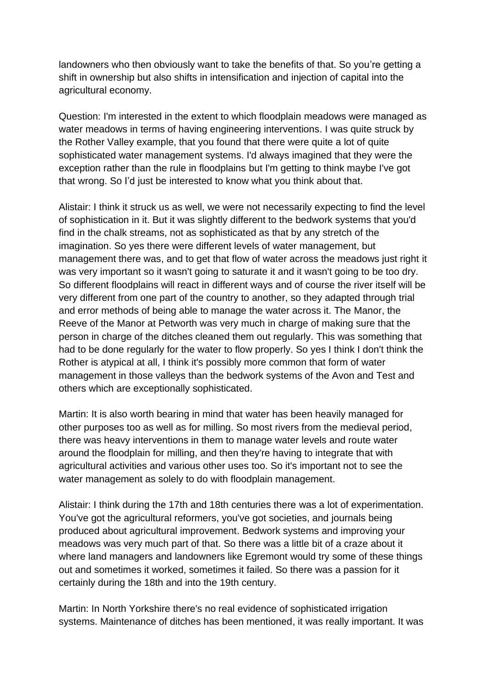landowners who then obviously want to take the benefits of that. So you're getting a shift in ownership but also shifts in intensification and injection of capital into the agricultural economy.

Question: I'm interested in the extent to which floodplain meadows were managed as water meadows in terms of having engineering interventions. I was quite struck by the Rother Valley example, that you found that there were quite a lot of quite sophisticated water management systems. I'd always imagined that they were the exception rather than the rule in floodplains but I'm getting to think maybe I've got that wrong. So I'd just be interested to know what you think about that.

Alistair: I think it struck us as well, we were not necessarily expecting to find the level of sophistication in it. But it was slightly different to the bedwork systems that you'd find in the chalk streams, not as sophisticated as that by any stretch of the imagination. So yes there were different levels of water management, but management there was, and to get that flow of water across the meadows just right it was very important so it wasn't going to saturate it and it wasn't going to be too dry. So different floodplains will react in different ways and of course the river itself will be very different from one part of the country to another, so they adapted through trial and error methods of being able to manage the water across it. The Manor, the Reeve of the Manor at Petworth was very much in charge of making sure that the person in charge of the ditches cleaned them out regularly. This was something that had to be done regularly for the water to flow properly. So yes I think I don't think the Rother is atypical at all, I think it's possibly more common that form of water management in those valleys than the bedwork systems of the Avon and Test and others which are exceptionally sophisticated.

Martin: It is also worth bearing in mind that water has been heavily managed for other purposes too as well as for milling. So most rivers from the medieval period, there was heavy interventions in them to manage water levels and route water around the floodplain for milling, and then they're having to integrate that with agricultural activities and various other uses too. So it's important not to see the water management as solely to do with floodplain management.

Alistair: I think during the 17th and 18th centuries there was a lot of experimentation. You've got the agricultural reformers, you've got societies, and journals being produced about agricultural improvement. Bedwork systems and improving your meadows was very much part of that. So there was a little bit of a craze about it where land managers and landowners like Egremont would try some of these things out and sometimes it worked, sometimes it failed. So there was a passion for it certainly during the 18th and into the 19th century.

Martin: In North Yorkshire there's no real evidence of sophisticated irrigation systems. Maintenance of ditches has been mentioned, it was really important. It was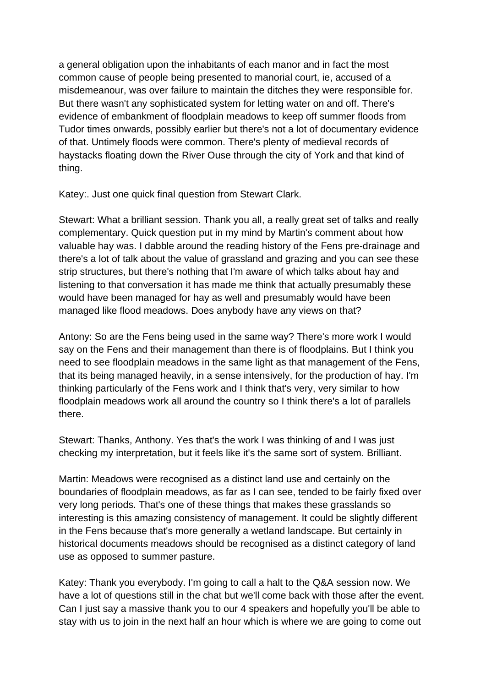a general obligation upon the inhabitants of each manor and in fact the most common cause of people being presented to manorial court, ie, accused of a misdemeanour, was over failure to maintain the ditches they were responsible for. But there wasn't any sophisticated system for letting water on and off. There's evidence of embankment of floodplain meadows to keep off summer floods from Tudor times onwards, possibly earlier but there's not a lot of documentary evidence of that. Untimely floods were common. There's plenty of medieval records of haystacks floating down the River Ouse through the city of York and that kind of thing.

Katey:. Just one quick final question from Stewart Clark.

Stewart: What a brilliant session. Thank you all, a really great set of talks and really complementary. Quick question put in my mind by Martin's comment about how valuable hay was. I dabble around the reading history of the Fens pre-drainage and there's a lot of talk about the value of grassland and grazing and you can see these strip structures, but there's nothing that I'm aware of which talks about hay and listening to that conversation it has made me think that actually presumably these would have been managed for hay as well and presumably would have been managed like flood meadows. Does anybody have any views on that?

Antony: So are the Fens being used in the same way? There's more work I would say on the Fens and their management than there is of floodplains. But I think you need to see floodplain meadows in the same light as that management of the Fens, that its being managed heavily, in a sense intensively, for the production of hay. I'm thinking particularly of the Fens work and I think that's very, very similar to how floodplain meadows work all around the country so I think there's a lot of parallels there.

Stewart: Thanks, Anthony. Yes that's the work I was thinking of and I was just checking my interpretation, but it feels like it's the same sort of system. Brilliant.

Martin: Meadows were recognised as a distinct land use and certainly on the boundaries of floodplain meadows, as far as I can see, tended to be fairly fixed over very long periods. That's one of these things that makes these grasslands so interesting is this amazing consistency of management. It could be slightly different in the Fens because that's more generally a wetland landscape. But certainly in historical documents meadows should be recognised as a distinct category of land use as opposed to summer pasture.

Katey: Thank you everybody. I'm going to call a halt to the Q&A session now. We have a lot of questions still in the chat but we'll come back with those after the event. Can I just say a massive thank you to our 4 speakers and hopefully you'll be able to stay with us to join in the next half an hour which is where we are going to come out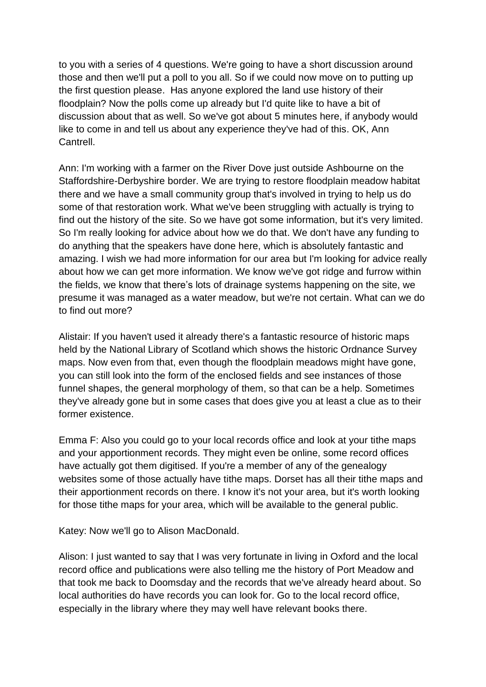to you with a series of 4 questions. We're going to have a short discussion around those and then we'll put a poll to you all. So if we could now move on to putting up the first question please. Has anyone explored the land use history of their floodplain? Now the polls come up already but I'd quite like to have a bit of discussion about that as well. So we've got about 5 minutes here, if anybody would like to come in and tell us about any experience they've had of this. OK, Ann Cantrell.

Ann: I'm working with a farmer on the River Dove just outside Ashbourne on the Staffordshire-Derbyshire border. We are trying to restore floodplain meadow habitat there and we have a small community group that's involved in trying to help us do some of that restoration work. What we've been struggling with actually is trying to find out the history of the site. So we have got some information, but it's very limited. So I'm really looking for advice about how we do that. We don't have any funding to do anything that the speakers have done here, which is absolutely fantastic and amazing. I wish we had more information for our area but I'm looking for advice really about how we can get more information. We know we've got ridge and furrow within the fields, we know that there's lots of drainage systems happening on the site, we presume it was managed as a water meadow, but we're not certain. What can we do to find out more?

Alistair: If you haven't used it already there's a fantastic resource of historic maps held by the National Library of Scotland which shows the historic Ordnance Survey maps. Now even from that, even though the floodplain meadows might have gone, you can still look into the form of the enclosed fields and see instances of those funnel shapes, the general morphology of them, so that can be a help. Sometimes they've already gone but in some cases that does give you at least a clue as to their former existence.

Emma F: Also you could go to your local records office and look at your tithe maps and your apportionment records. They might even be online, some record offices have actually got them digitised. If you're a member of any of the genealogy websites some of those actually have tithe maps. Dorset has all their tithe maps and their apportionment records on there. I know it's not your area, but it's worth looking for those tithe maps for your area, which will be available to the general public.

Katey: Now we'll go to Alison MacDonald.

Alison: I just wanted to say that I was very fortunate in living in Oxford and the local record office and publications were also telling me the history of Port Meadow and that took me back to Doomsday and the records that we've already heard about. So local authorities do have records you can look for. Go to the local record office, especially in the library where they may well have relevant books there.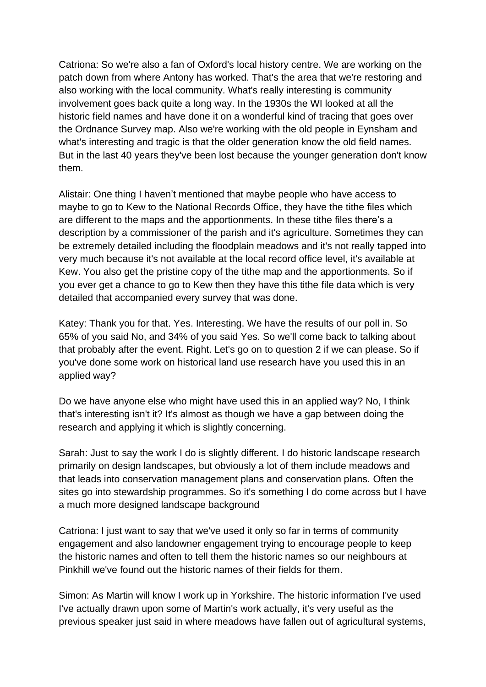Catriona: So we're also a fan of Oxford's local history centre. We are working on the patch down from where Antony has worked. That's the area that we're restoring and also working with the local community. What's really interesting is community involvement goes back quite a long way. In the 1930s the WI looked at all the historic field names and have done it on a wonderful kind of tracing that goes over the Ordnance Survey map. Also we're working with the old people in Eynsham and what's interesting and tragic is that the older generation know the old field names. But in the last 40 years they've been lost because the younger generation don't know them.

Alistair: One thing I haven't mentioned that maybe people who have access to maybe to go to Kew to the National Records Office, they have the tithe files which are different to the maps and the apportionments. In these tithe files there's a description by a commissioner of the parish and it's agriculture. Sometimes they can be extremely detailed including the floodplain meadows and it's not really tapped into very much because it's not available at the local record office level, it's available at Kew. You also get the pristine copy of the tithe map and the apportionments. So if you ever get a chance to go to Kew then they have this tithe file data which is very detailed that accompanied every survey that was done.

Katey: Thank you for that. Yes. Interesting. We have the results of our poll in. So 65% of you said No, and 34% of you said Yes. So we'll come back to talking about that probably after the event. Right. Let's go on to question 2 if we can please. So if you've done some work on historical land use research have you used this in an applied way?

Do we have anyone else who might have used this in an applied way? No, I think that's interesting isn't it? It's almost as though we have a gap between doing the research and applying it which is slightly concerning.

Sarah: Just to say the work I do is slightly different. I do historic landscape research primarily on design landscapes, but obviously a lot of them include meadows and that leads into conservation management plans and conservation plans. Often the sites go into stewardship programmes. So it's something I do come across but I have a much more designed landscape background

Catriona: I just want to say that we've used it only so far in terms of community engagement and also landowner engagement trying to encourage people to keep the historic names and often to tell them the historic names so our neighbours at Pinkhill we've found out the historic names of their fields for them.

Simon: As Martin will know I work up in Yorkshire. The historic information I've used I've actually drawn upon some of Martin's work actually, it's very useful as the previous speaker just said in where meadows have fallen out of agricultural systems,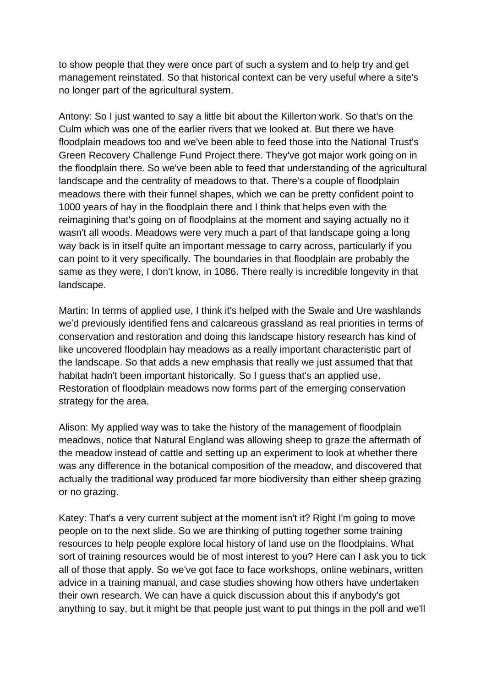to show people that they were once part of such a system and to help try and get management reinstated. So that historical context can be very useful where a site's no longer part of the agricultural system.

Antony: So I just wanted to say a little bit about the Killerton work. So that's on the Culm which was one of the earlier rivers that we looked at. But there we have floodplain meadows too and we've been able to feed those into the National Trust's Green Recovery Challenge Fund Project there. They've got major work going on in the floodplain there. So we've been able to feed that understanding of the agricultural landscape and the centrality of meadows to that. There's a couple of floodplain meadows there with their funnel shapes, which we can be pretty confident point to 1000 years of hay in the floodplain there and I think that helps even with the reimagining that's going on of floodplains at the moment and saying actually no it wasn't all woods. Meadows were very much a part of that landscape going a long way back is in itself quite an important message to carry across, particularly if you can point to it very specifically. The boundaries in that floodplain are probably the same as they were, I don't know, in 1086. There really is incredible longevity in that landscape.

Martin: In terms of applied use, I think it's helped with the Swale and Ure washlands we'd previously identified fens and calcareous grassland as real priorities in terms of conservation and restoration and doing this landscape history research has kind of like uncovered floodplain hay meadows as a really important characteristic part of the landscape. So that adds a new emphasis that really we just assumed that that habitat hadn't been important historically. So I guess that's an applied use. Restoration of floodplain meadows now forms part of the emerging conservation strategy for the area.

Alison: My applied way was to take the history of the management of floodplain meadows, notice that Natural England was allowing sheep to graze the aftermath of the meadow instead of cattle and setting up an experiment to look at whether there was any difference in the botanical composition of the meadow, and discovered that actually the traditional way produced far more biodiversity than either sheep grazing or no grazing.

Katey: That's a very current subject at the moment isn't it? Right I'm going to move people on to the next slide. So we are thinking of putting together some training resources to help people explore local history of land use on the floodplains. What sort of training resources would be of most interest to you? Here can I ask you to tick all of those that apply. So we've got face to face workshops, online webinars, written advice in a training manual, and case studies showing how others have undertaken their own research. We can have a quick discussion about this if anybody's got anything to say, but it might be that people just want to put things in the poll and we'll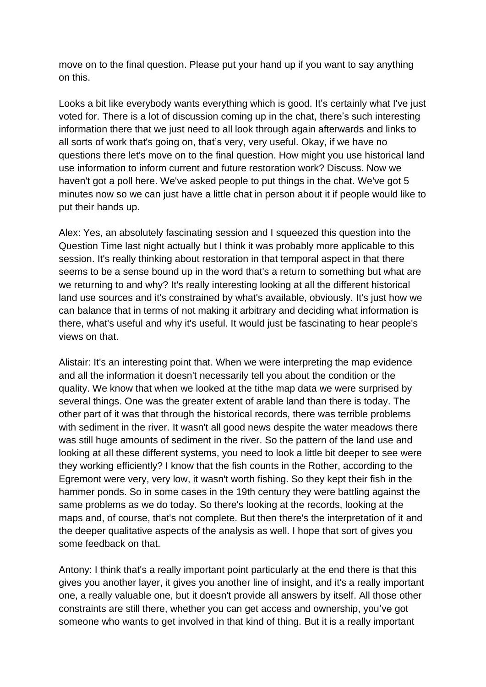move on to the final question. Please put your hand up if you want to say anything on this.

Looks a bit like everybody wants everything which is good. It's certainly what I've just voted for. There is a lot of discussion coming up in the chat, there's such interesting information there that we just need to all look through again afterwards and links to all sorts of work that's going on, that's very, very useful. Okay, if we have no questions there let's move on to the final question. How might you use historical land use information to inform current and future restoration work? Discuss. Now we haven't got a poll here. We've asked people to put things in the chat. We've got 5 minutes now so we can just have a little chat in person about it if people would like to put their hands up.

Alex: Yes, an absolutely fascinating session and I squeezed this question into the Question Time last night actually but I think it was probably more applicable to this session. It's really thinking about restoration in that temporal aspect in that there seems to be a sense bound up in the word that's a return to something but what are we returning to and why? It's really interesting looking at all the different historical land use sources and it's constrained by what's available, obviously. It's just how we can balance that in terms of not making it arbitrary and deciding what information is there, what's useful and why it's useful. It would just be fascinating to hear people's views on that.

Alistair: It's an interesting point that. When we were interpreting the map evidence and all the information it doesn't necessarily tell you about the condition or the quality. We know that when we looked at the tithe map data we were surprised by several things. One was the greater extent of arable land than there is today. The other part of it was that through the historical records, there was terrible problems with sediment in the river. It wasn't all good news despite the water meadows there was still huge amounts of sediment in the river. So the pattern of the land use and looking at all these different systems, you need to look a little bit deeper to see were they working efficiently? I know that the fish counts in the Rother, according to the Egremont were very, very low, it wasn't worth fishing. So they kept their fish in the hammer ponds. So in some cases in the 19th century they were battling against the same problems as we do today. So there's looking at the records, looking at the maps and, of course, that's not complete. But then there's the interpretation of it and the deeper qualitative aspects of the analysis as well. I hope that sort of gives you some feedback on that.

Antony: I think that's a really important point particularly at the end there is that this gives you another layer, it gives you another line of insight, and it's a really important one, a really valuable one, but it doesn't provide all answers by itself. All those other constraints are still there, whether you can get access and ownership, you've got someone who wants to get involved in that kind of thing. But it is a really important